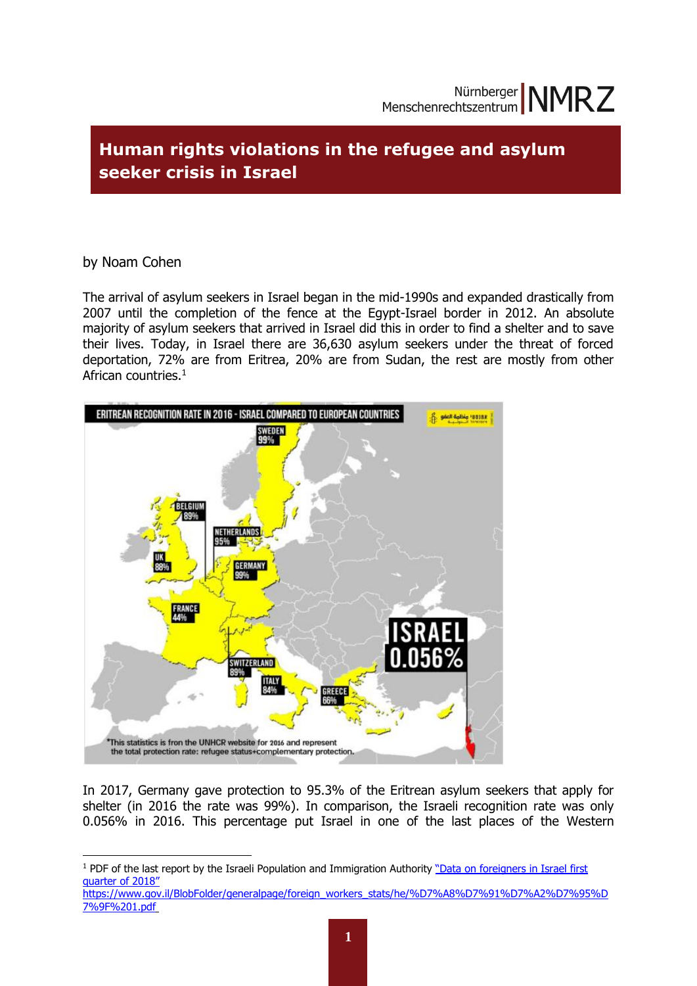# **Human rights violations in the refugee and asylum seeker crisis in Israel**

### by Noam Cohen

**.** 

The arrival of asylum seekers in Israel began in the mid-1990s and expanded drastically from 2007 until the completion of the fence at the Egypt-Israel border in 2012. An absolute majority of asylum seekers that arrived in Israel did this in order to find a shelter and to save their lives. Today, in Israel there are 36,630 asylum seekers under the threat of forced deportation, 72% are from Eritrea, 20% are from Sudan, the rest are mostly from other African countries.<sup>1</sup>



In 2017, Germany gave protection to 95.3% of the Eritrean asylum seekers that apply for shelter (in 2016 the rate was 99%). In comparison, the Israeli recognition rate was only 0.056% in 2016. This percentage put Israel in one of the last places of the Western

<sup>&</sup>lt;sup>1</sup> PDF of the last report by the Israeli Population and Immigration Authority "Data on foreigners in Israel first [quarter of 2018"](file://///Besitzer1-pc/d/nmrz1/Praktikum/Noam/Research%20Project%20-%20Noam%20NMRZ-%202018/NMRZ%20Refugees%20Project%20-%20Noam%202018/רבעון%201.pdf)

[https://www.gov.il/BlobFolder/generalpage/foreign\\_workers\\_stats/he/%D7%A8%D7%91%D7%A2%D7%95%D](https://www.gov.il/BlobFolder/generalpage/foreign_workers_stats/he/%D7%A8%D7%91%D7%A2%D7%95%D7%9F%201.pdf) [7%9F%201.pdf](https://www.gov.il/BlobFolder/generalpage/foreign_workers_stats/he/%D7%A8%D7%91%D7%A2%D7%95%D7%9F%201.pdf)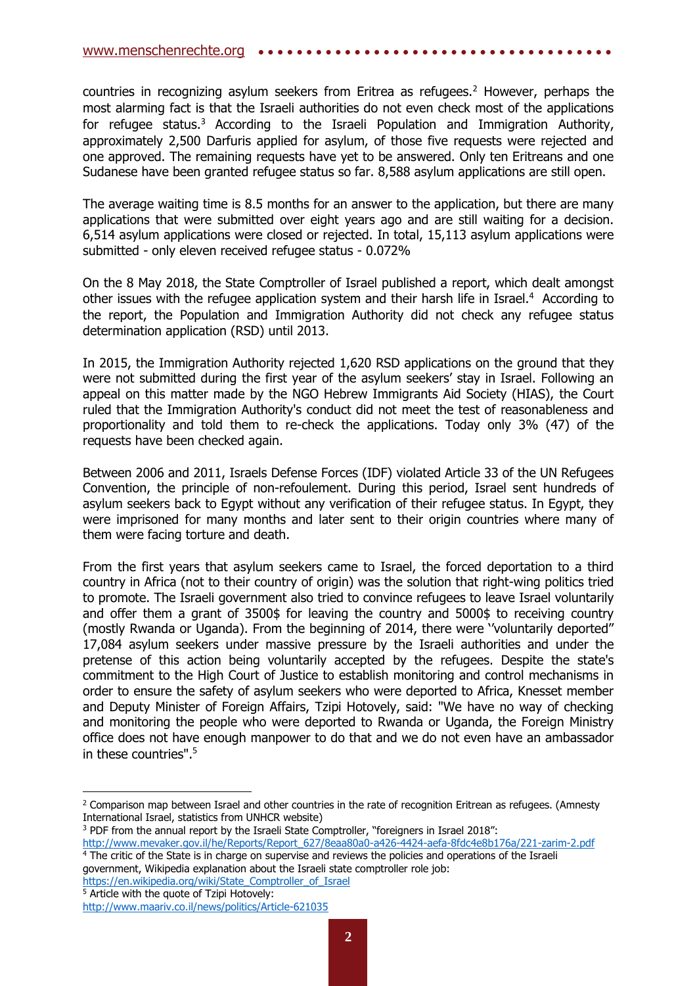countries in recognizing asylum seekers from Eritrea as refugees.<sup>2</sup> However, perhaps the most alarming fact is that the Israeli authorities do not even check most of the applications for refugee status.<sup>3</sup> According to the Israeli Population and Immigration Authority, approximately 2,500 Darfuris applied for asylum, of those five requests were rejected and one approved. The remaining requests have yet to be answered. Only ten Eritreans and one Sudanese have been granted refugee status so far. 8,588 asylum applications are still open.

The average waiting time is 8.5 months for an answer to the application, but there are many applications that were submitted over eight years ago and are still waiting for a decision. 6,514 asylum applications were closed or rejected. In total, 15,113 asylum applications were submitted - only eleven received refugee status - 0.072%

On the 8 May 2018, the State Comptroller of Israel published a report, which dealt amongst other issues with the refugee application system and their harsh life in Israel.<sup>4</sup> According to the report, the Population and Immigration Authority did not check any refugee status determination application (RSD) until 2013.

In 2015, the Immigration Authority rejected 1,620 RSD applications on the ground that they were not submitted during the first year of the asylum seekers' stay in Israel. Following an appeal on this matter made by the NGO Hebrew Immigrants Aid Society (HIAS), the Court ruled that the Immigration Authority's conduct did not meet the test of reasonableness and proportionality and told them to re-check the applications. Today only 3% (47) of the requests have been checked again.

Between 2006 and 2011, Israels Defense Forces (IDF) violated Article 33 of the UN Refugees Convention, the principle of non-refoulement. During this period, Israel sent hundreds of asylum seekers back to Egypt without any verification of their refugee status. In Egypt, they were imprisoned for many months and later sent to their origin countries where many of them were facing torture and death.

From the first years that asylum seekers came to Israel, the forced deportation to a third country in Africa (not to their country of origin) was the solution that right-wing politics tried to promote. The Israeli government also tried to convince refugees to leave Israel voluntarily and offer them a grant of 3500\$ for leaving the country and 5000\$ to receiving country (mostly Rwanda or Uganda). From the beginning of 2014, there were ''voluntarily deported'' 17,084 asylum seekers under massive pressure by the Israeli authorities and under the pretense of this action being voluntarily accepted by the refugees. Despite the state's commitment to the High Court of Justice to establish monitoring and control mechanisms in order to ensure the safety of asylum seekers who were deported to Africa, Knesset member and Deputy Minister of Foreign Affairs, Tzipi Hotovely, said: "We have no way of checking and monitoring the people who were deported to Rwanda or Uganda, the Foreign Ministry office does not have enough manpower to do that and we do not even have an ambassador in these countries". 5

<sup>5</sup> Article with the quote of Tzipi Hotovely:

<sup>&</sup>lt;sup>2</sup> Comparison map between Israel and other countries in the rate of recognition Eritrean as refugees. (Amnesty International Israel, statistics from UNHCR website)

<sup>3</sup> PDF from the annual report by the Israeli State Comptroller, "foreigners in Israel 2018":

[http://www.mevaker.gov.il/he/Reports/Report\\_627/8eaa80a0-a426-4424-aefa-8fdc4e8b176a/221-zarim-2.pdf](http://www.mevaker.gov.il/he/Reports/Report_627/8eaa80a0-a426-4424-aefa-8fdc4e8b176a/221-zarim-2.pdf) <sup>4</sup> The critic of the State is in charge on supervise and reviews the policies and operations of the Israeli government, Wikipedia explanation about the Israeli state comptroller role job: [https://en.wikipedia.org/wiki/State\\_Comptroller\\_of\\_Israel](https://en.wikipedia.org/wiki/State_Comptroller_of_Israel)

<http://www.maariv.co.il/news/politics/Article-621035>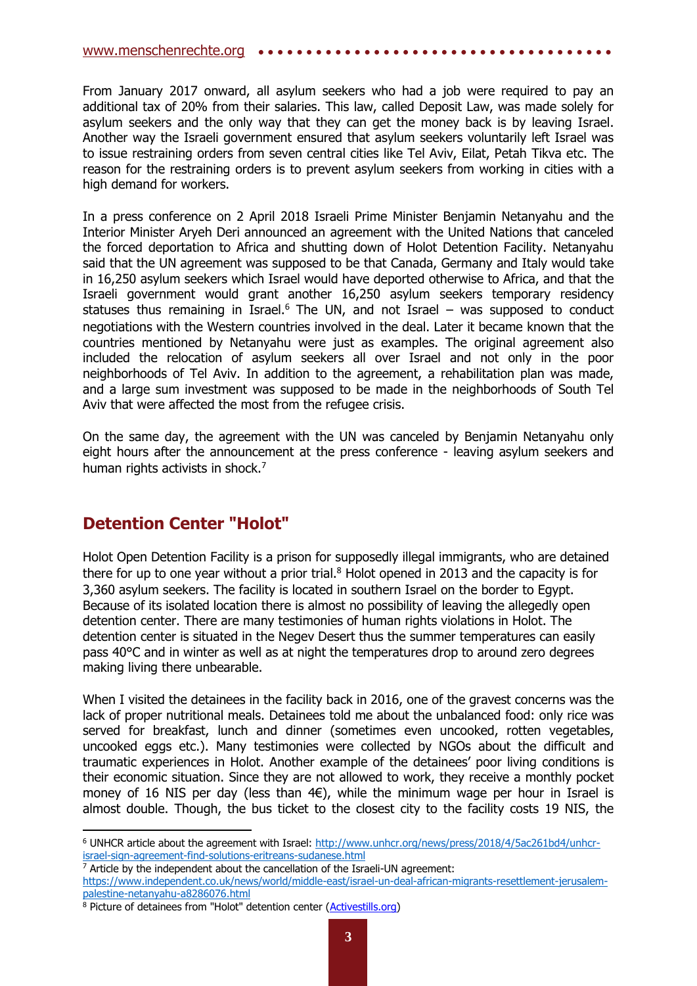#### [www.menschenrechte.org](http://www.menschenrechte.org/) •••••

From January 2017 onward, all asylum seekers who had a job were required to pay an additional tax of 20% from their salaries. This law, called Deposit Law, was made solely for asylum seekers and the only way that they can get the money back is by leaving Israel. Another way the Israeli government ensured that asylum seekers voluntarily left Israel was to issue restraining orders from seven central cities like Tel Aviv, Eilat, Petah Tikva etc. The reason for the restraining orders is to prevent asylum seekers from working in cities with a high demand for workers.

In a press conference on 2 April 2018 Israeli Prime Minister Benjamin Netanyahu and the Interior Minister Aryeh Deri announced an agreement with the United Nations that canceled the forced deportation to Africa and shutting down of Holot Detention Facility. Netanyahu said that the UN agreement was supposed to be that Canada, Germany and Italy would take in 16,250 asylum seekers which Israel would have deported otherwise to Africa, and that the Israeli government would grant another 16,250 asylum seekers temporary residency statuses thus remaining in Israel.<sup>6</sup> The UN, and not Israel – was supposed to conduct negotiations with the Western countries involved in the deal. Later it became known that the countries mentioned by Netanyahu were just as examples. The original agreement also included the relocation of asylum seekers all over Israel and not only in the poor neighborhoods of Tel Aviv. In addition to the agreement, a rehabilitation plan was made, and a large sum investment was supposed to be made in the neighborhoods of South Tel Aviv that were affected the most from the refugee crisis.

On the same day, the agreement with the UN was canceled by Benjamin Netanyahu only eight hours after the announcement at the press conference - leaving asylum seekers and human rights activists in shock.<sup>7</sup>

## **Detention Center "Holot"**

**.** 

Holot Open Detention Facility is a prison for supposedly illegal immigrants, who are detained there for up to one year without a prior trial. $8$  Holot opened in 2013 and the capacity is for 3,360 asylum seekers. The facility is located in southern Israel on the border to Egypt. Because of its isolated location there is almost no possibility of leaving the allegedly open detention center. There are many testimonies of human rights violations in Holot. The detention center is situated in the Negev Desert thus the summer temperatures can easily pass 40°C and in winter as well as at night the temperatures drop to around zero degrees making living there unbearable.

When I visited the detainees in the facility back in 2016, one of the gravest concerns was the lack of proper nutritional meals. Detainees told me about the unbalanced food: only rice was served for breakfast, lunch and dinner (sometimes even uncooked, rotten vegetables, uncooked eggs etc.). Many testimonies were collected by NGOs about the difficult and traumatic experiences in Holot. Another example of the detainees' poor living conditions is their economic situation. Since they are not allowed to work, they receive a monthly pocket money of 16 NIS per day (less than  $4E$ ), while the minimum wage per hour in Israel is almost double. Though, the bus ticket to the closest city to the facility costs 19 NIS, the

<sup>6</sup> UNHCR article about the agreement with Israel: [http://www.unhcr.org/news/press/2018/4/5ac261bd4/unhcr](http://www.unhcr.org/news/press/2018/4/5ac261bd4/unhcr-israel-sign-agreement-find-solutions-eritreans-sudanese.html)[israel-sign-agreement-find-solutions-eritreans-sudanese.html](http://www.unhcr.org/news/press/2018/4/5ac261bd4/unhcr-israel-sign-agreement-find-solutions-eritreans-sudanese.html)

<sup>7</sup> Article by the independent about the cancellation of the Israeli-UN agreement:

[https://www.independent.co.uk/news/world/middle-east/israel-un-deal-african-migrants-resettlement-jerusalem](https://www.independent.co.uk/news/world/middle-east/israel-un-deal-african-migrants-resettlement-jerusalem-palestine-netanyahu-a8286076.html)[palestine-netanyahu-a8286076.html](https://www.independent.co.uk/news/world/middle-east/israel-un-deal-african-migrants-resettlement-jerusalem-palestine-netanyahu-a8286076.html)

<sup>8</sup> Picture of detainees from "Holot" detention center [\(Activestills.org\)](https://activestills.org/)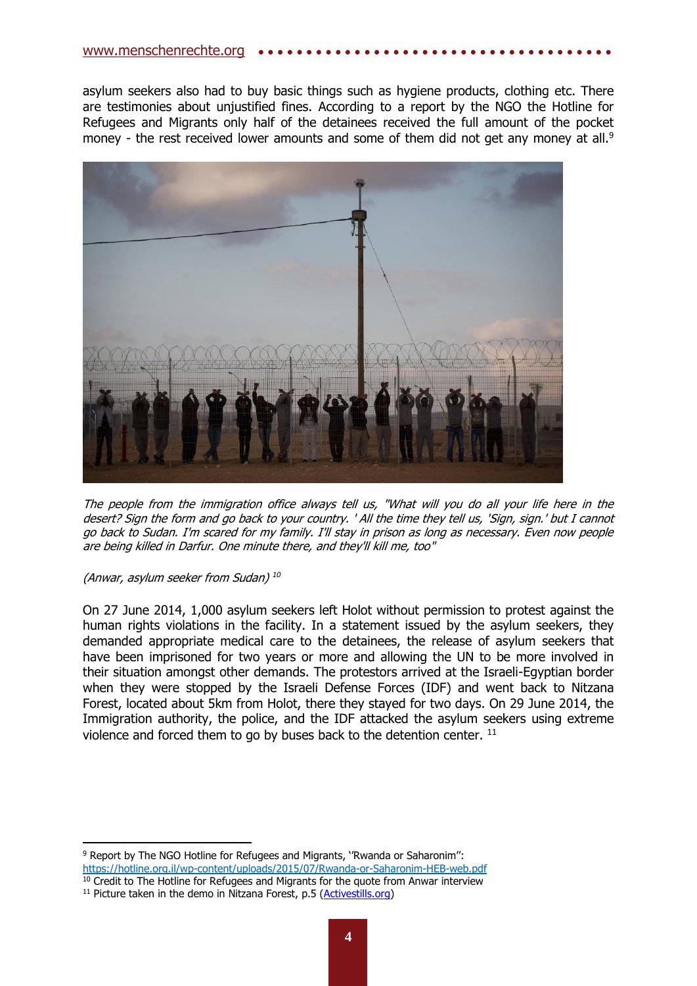asylum seekers also had to buy basic things such as hygiene products, clothing etc. There are testimonies about unjustified fines. According to a report by the NGO the Hotline for Refugees and Migrants only half of the detainees received the full amount of the pocket money - the rest received lower amounts and some of them did not get any money at all. $9$ 



The people from the immigration office always tell us, "What will you do all your life here in the desert? Sign the form and go back to your country. ' All the time they tell us, 'Sign, sign.' but I cannot go back to Sudan. I'm scared for my family. I'll stay in prison as long as necessary. Even now people are being killed in Darfur. One minute there, and they'll kill me, too"

(Anwar, asylum seeker from Sudan) *10*

On 27 June 2014, 1,000 asylum seekers left Holot without permission to protest against the human rights violations in the facility. In a statement issued by the asylum seekers, they demanded appropriate medical care to the detainees, the release of asylum seekers that have been imprisoned for two years or more and allowing the UN to be more involved in their situation amongst other demands. The protestors arrived at the Israeli-Egyptian border when they were stopped by the Israeli Defense Forces (IDF) and went back to Nitzana Forest, located about 5km from Holot, there they stayed for two days. On 29 June 2014, the Immigration authority, the police, and the IDF attacked the asylum seekers using extreme violence and forced them to go by buses back to the detention center. <sup>11</sup>

**<sup>.</sup>** <sup>9</sup> Report by The NGO Hotline for Refugees and Migrants, ''Rwanda or Saharonim'': <https://hotline.org.il/wp-content/uploads/2015/07/Rwanda-or-Saharonim-HEB-web.pdf> <sup>10</sup> Credit to The Hotline for Refugees and Migrants for the quote from Anwar interview

<sup>&</sup>lt;sup>11</sup> Picture taken in the demo in Nitzana Forest, p.5 [\(Activestills.org\)](https://activestills.org/)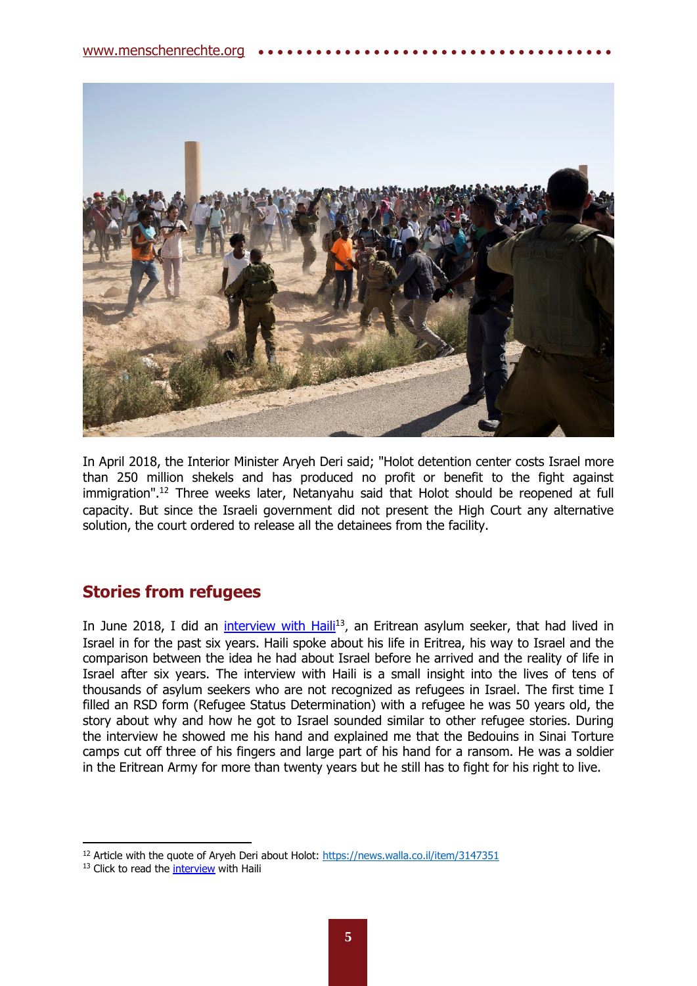

In April 2018, the Interior Minister Aryeh Deri said; "Holot detention center costs Israel more than 250 million shekels and has produced no profit or benefit to the fight against immigration". <sup>12</sup> Three weeks later, Netanyahu said that Holot should be reopened at full capacity. But since the Israeli government did not present the High Court any alternative solution, the court ordered to release all the detainees from the facility.

## **Stories from refugees**

In June 2018, I did an *interview with Haili<sup>13</sup>*, an Eritrean asylum seeker, that had lived in Israel in for the past six years. Haili spoke about his life in Eritrea, his way to Israel and the comparison between the idea he had about Israel before he arrived and the reality of life in Israel after six years. The interview with Haili is a small insight into the lives of tens of thousands of asylum seekers who are not recognized as refugees in Israel. The first time I filled an RSD form (Refugee Status Determination) with a refugee he was 50 years old, the story about why and how he got to Israel sounded similar to other refugee stories. During the interview he showed me his hand and explained me that the Bedouins in Sinai Torture camps cut off three of his fingers and large part of his hand for a ransom. He was a soldier in the Eritrean Army for more than twenty years but he still has to fight for his right to live.

<sup>&</sup>lt;sup>12</sup> Article with the quote of Aryeh Deri about Holot:<https://news.walla.co.il/item/3147351>

<sup>&</sup>lt;sup>13</sup> Click to read the [interview](http://www.menschenrechte.org/wp-content/uploads/2018/07/Interview_Haili.pdf) with Haili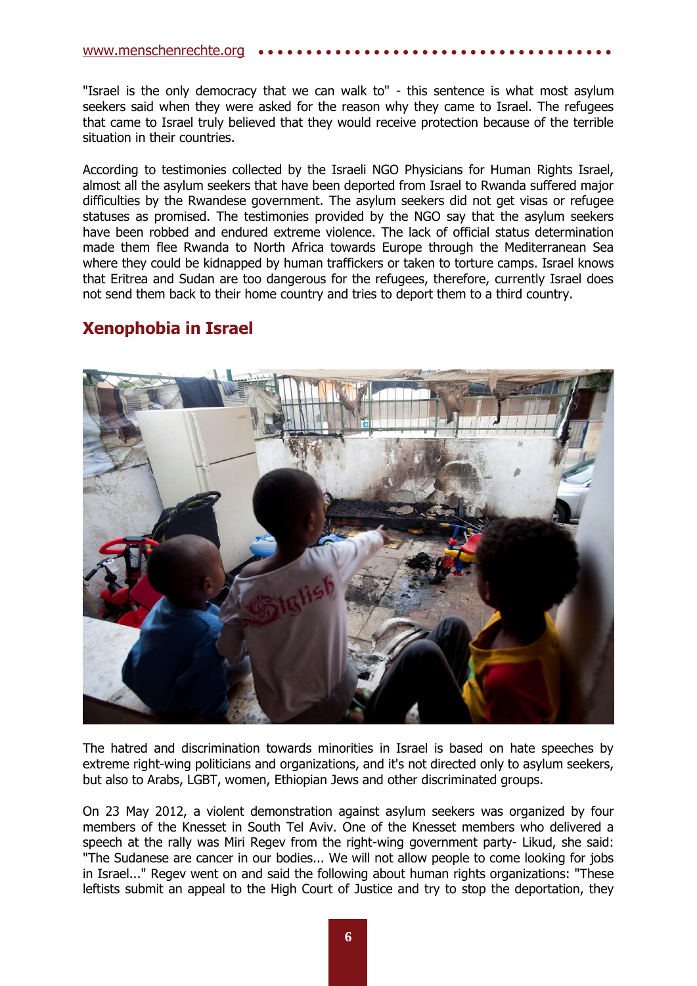#### [www.menschenrechte.org](http://www.menschenrechte.org/) ••

"Israel is the only democracy that we can walk to" - this sentence is what most asylum seekers said when they were asked for the reason why they came to Israel. The refugees that came to Israel truly believed that they would receive protection because of the terrible situation in their countries.

According to testimonies collected by the Israeli NGO Physicians for Human Rights Israel, almost all the asylum seekers that have been deported from Israel to Rwanda suffered major difficulties by the Rwandese government. The asylum seekers did not get visas or refugee statuses as promised. The testimonies provided by the NGO say that the asylum seekers have been robbed and endured extreme violence. The lack of official status determination made them flee Rwanda to North Africa towards Europe through the Mediterranean Sea where they could be kidnapped by human traffickers or taken to torture camps. Israel knows that Eritrea and Sudan are too dangerous for the refugees, therefore, currently Israel does not send them back to their home country and tries to deport them to a third country.

### **Xenophobia in Israel**



The hatred and discrimination towards minorities in Israel is based on hate speeches by extreme right-wing politicians and organizations, and it's not directed only to asylum seekers, but also to Arabs, LGBT, women, Ethiopian Jews and other discriminated groups.

On 23 May 2012, a violent demonstration against asylum seekers was organized by four members of the Knesset in South Tel Aviv. One of the Knesset members who delivered a speech at the rally was Miri Regev from the right-wing government party- Likud, she said: "The Sudanese are cancer in our bodies... We will not allow people to come looking for jobs in Israel..." Regev went on and said the following about human rights organizations: "These leftists submit an appeal to the High Court of Justice and try to stop the deportation, they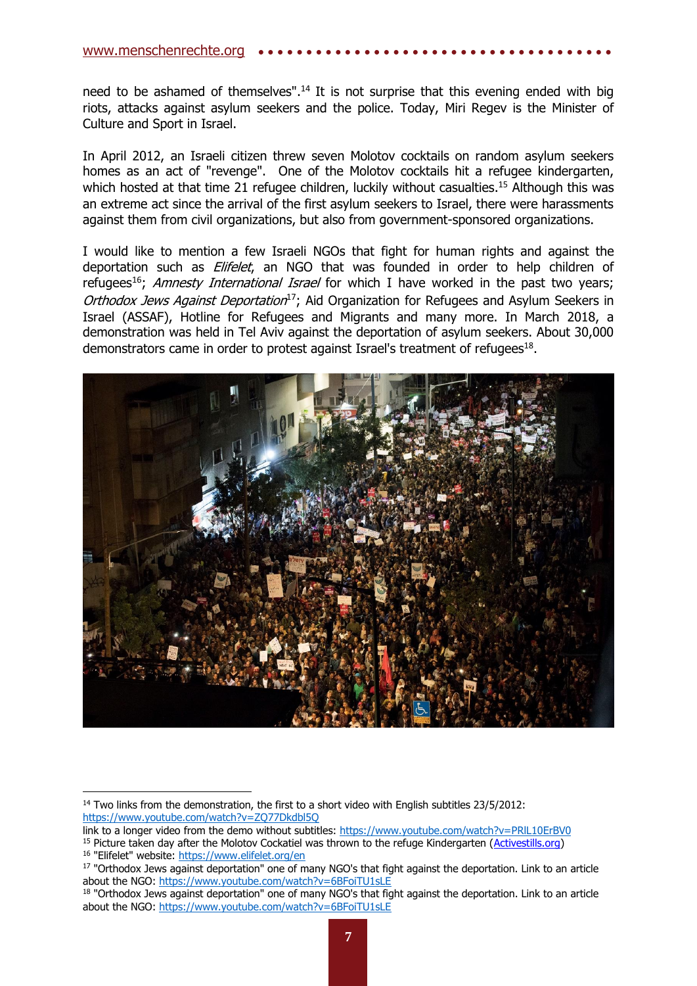#### www.menschenrechte.org

need to be ashamed of themselves".<sup>14</sup> It is not surprise that this evening ended with big riots, attacks against asylum seekers and the police. Today, Miri Regev is the Minister of Culture and Sport in Israel.

In April 2012, an Israeli citizen threw seven Molotov cocktails on random asylum seekers homes as an act of "revenge". One of the Molotov cocktails hit a refugee kindergarten, which hosted at that time 21 refugee children, luckily without casualties.<sup>15</sup> Although this was an extreme act since the arrival of the first asylum seekers to Israel, there were harassments against them from civil organizations, but also from government-sponsored organizations.

I would like to mention a few Israeli NGOs that fight for human rights and against the deportation such as *Elifelet*, an NGO that was founded in order to help children of refugees<sup>16</sup>; Amnesty International Israel for which I have worked in the past two years; Orthodox Jews Against Deportation<sup>17</sup>; Aid Organization for Refugees and Asylum Seekers in Israel (ASSAF), Hotline for Refugees and Migrants and many more. In March 2018, a demonstration was held in Tel Aviv against the deportation of asylum seekers. About 30,000 demonstrators came in order to protest against Israel's treatment of refugees<sup>18</sup>.



 $14$  Two links from the demonstration, the first to a short video with English subtitles 23/5/2012: <https://www.youtube.com/watch?v=ZQ77Dkdbl5Q>

link to a longer video from the demo without subtitles: https://www.youtube.com/watch?v=PRIL10ErBV0

<sup>&</sup>lt;sup>15</sup> Picture taken day after the Molotov Cockatiel was thrown to the refuge Kindergarten [\(Activestills.org\)](https://activestills.org/) <sup>16</sup> "Elifelet" website:<https://www.elifelet.org/en>

<sup>&</sup>lt;sup>17</sup> "Orthodox Jews against deportation" one of many NGO's that fight against the deportation. Link to an article about the NGO:<https://www.youtube.com/watch?v=6BFoiTU1sLE>

<sup>18 &</sup>quot;Orthodox Jews against deportation" one of many NGO's that fight against the deportation. Link to an article about the NGO:<https://www.youtube.com/watch?v=6BFoiTU1sLE>